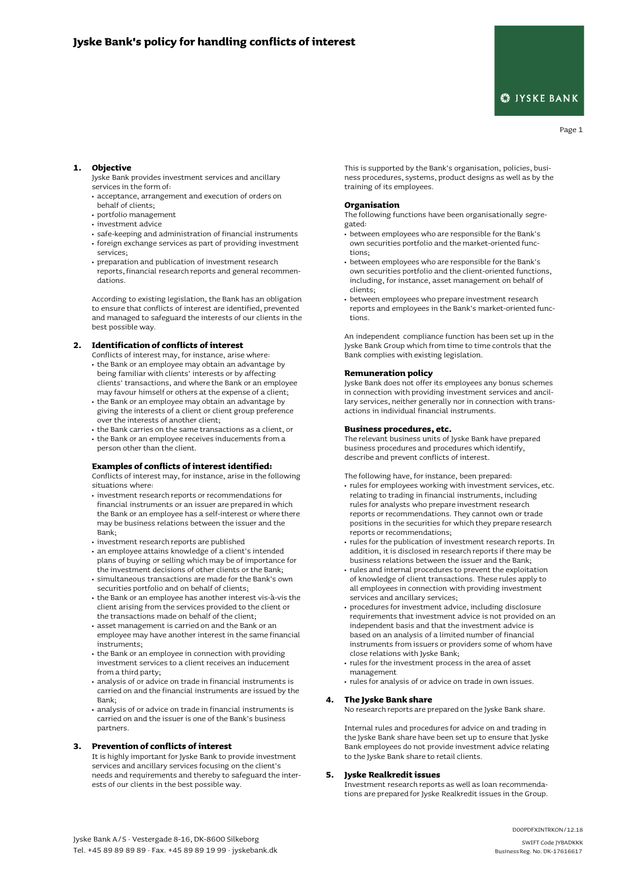# **S**IYSKE BANK

# Page 1

### **1. Objective**

Jyske Bank provides investment services and ancillary services in the form of:

- **•** acceptance, arrangement and execution of orders on behalf of clients;
- **•** portfolio management
- **•** investment advice
- **•** safe-keeping and administration of financial instruments **•** foreign exchange services as part of providing investment
- services;
- **•** preparation and publication of investment research reports, financial research reports and general recommendations.

According to existing legislation, the Bank has an obligation to ensure that conflicts of interest are identified, prevented and managed to safeguard the interests of our clients in the best possible way.

# **2. Identificationof conflicts of interest**

- Conflicts of interest may, for instance, arise where: **•** the Bank or an employee may obtain an advantage by being familiar with clients' interests or by affecting clients' transactions, and where the Bank or an employee may favour himself or others at the expense of a client;
- **•** the Bank or an employee may obtain an advantage by giving the interests of a client or client group preference over the interests of another client;
- **•** the Bank carries on the same transactions as a client, or **•** the Bank or an employee receives inducements from a
- person other than the client.

#### **Examples of conflicts of interest identified:**

Conflicts of interest may, for instance, arise in the following situations where:

- **•** investment research reports or recommendations for financial instruments or an issuer are prepared in which the Bank or an employee has a self-interest or where there may be business relations between the issuer and the Bank;
- **•** investment research reports are published
- **•** an employee attains knowledge of a client's intended plans of buying or selling which may be of importance for the investment decisions of other clients or the Bank;
- **•** simultaneous transactions are made for the Bank's own securities portfolio and on behalf of clients;
- **•** the Bank or an employee has another interest vis-à-vis the client arising from the services provided to the client or the transactions made on behalf of the client;
- **•** asset management is carried on and the Bank or an employee may have another interest in the same financial instruments;
- **•** the Bank or an employee in connection with providing investment services to a client receives an inducement from a third party;
- **•** analysis of or advice on trade in financial instruments is carried on and the financial instruments are issued by the Bank;
- **•** analysis of or advice on trade in financial instruments is carried on and the issuer is one of the Bank's business partners.

# **3. Prevention of conflicts of interest**

It is highly important for Jyske Bank to provide investment services and ancillary services focusing on the client's needs and requirements and thereby to safeguard the interests of our clients in the best possible way.

This is supported by the Bank's organisation, policies, business procedures, systems, product designs as well as by the training of its employees.

#### **Organisation**

The following functions have been organisationally segregated:

- **•** between employees who are responsible for the Bank's own securities portfolio and the market-oriented functions;
- **•** between employees who are responsible for the Bank's own securities portfolio and the client-oriented functions, including, for instance, asset management on behalf of clients;
- **•** between employees who prepare investment research reports and employees in the Bank's market-oriented functions.

An independent compliance function has been set up in the Jyske Bank Group which from time to time controls that the Bank complies with existing legislation.

# **Remuneration policy**

Jyske Bank does not offer its employees any bonus schemes in connection with providing investment services and ancillary services, neither generally nor in connection with transactions in individual financial instruments.

#### **Business procedures, etc.**

The relevant business units of Jyske Bank have prepared business procedures and procedures which identify, describe and prevent conflicts of interest.

The following have, for instance, been prepared:

- **•** rules for employees working with investment services, etc. relating to trading in financial instruments, including rules for analysts who prepare investment research reports or recommendations. They cannot own or trade positions in the securities for which they prepare research reports or recommendations;
- **•** rules for the publication of investment research reports. In addition, it is disclosed in research reports if there may be business relations between the issuer and the Bank;
- **•** rules and internal procedures to prevent the exploitation of knowledge of client transactions. These rules apply to all employees in connection with providing investment services and ancillary services;
- **•** procedures for investment advice, including disclosure requirements that investment advice is not provided on an independent basis and that the investment advice is based on an analysis of a limited number of financial instruments from issuers or providers some of whom have close relations with Jyske Bank;
- **•** rules for the investment process in the area of asset management
- **•** rules for analysis of or advice on trade in own issues.

#### **4. The Jyske Bank share**

No research reports are prepared on the Jyske Bank share.

Internal rules and procedures for advice on and trading in the Jyske Bank share have been set up to ensure that Jyske Bank employees do not provide investment advice relating to the Jyske Bank share to retail clients.

# **5. Jyske Realkreditissues**

Investment research reports as well as loan recommendations are prepared for Jyske Realkredit issues in the Group.